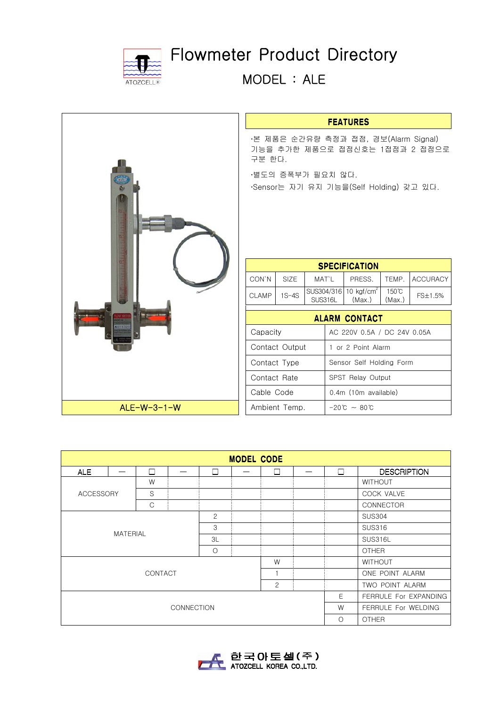

## Flowmeter Product Directory

MODEL : ALE

|               | <b>FEATURES</b>                                                                  |                                         |                              |                                 |                 |                 |  |
|---------------|----------------------------------------------------------------------------------|-----------------------------------------|------------------------------|---------------------------------|-----------------|-----------------|--|
|               | ·본 제품은 순간유량 측정과 접점, 경보(Alarm Signal)<br>기능을 추가한 제품으로 접점신호는 1접점과 2 접점으로<br>구분 한다. |                                         |                              |                                 |                 |                 |  |
|               | ·별도의 증폭부가 필요치 않다.<br>·Sensor는 자기 유지 기능을(Self Holding) 갖고 있다.                     |                                         |                              |                                 |                 |                 |  |
|               |                                                                                  |                                         |                              |                                 |                 |                 |  |
|               | <b>SPECIFICATION</b>                                                             |                                         |                              |                                 |                 |                 |  |
|               | CON'N                                                                            | SIZE                                    | MAT'L                        | PRESS.                          | TEMP.           | <b>ACCURACY</b> |  |
|               | <b>CLAMP</b>                                                                     | $1S-4S$                                 | SUS304/316<br><b>SUS316L</b> | 10 $kgf/cm2$<br>(Max.)          | 150°C<br>(Max.) | FS±1.5%         |  |
|               | <b>ALARM CONTACT</b>                                                             |                                         |                              |                                 |                 |                 |  |
|               |                                                                                  | Capacity<br>AC 220V 0.5A / DC 24V 0.05A |                              |                                 |                 |                 |  |
|               |                                                                                  | Contact Output                          |                              | 1 or 2 Point Alarm              |                 |                 |  |
|               | Contact Type                                                                     |                                         |                              | Sensor Self Holding Form        |                 |                 |  |
|               | Contact Rate                                                                     |                                         |                              | SPST Relay Output               |                 |                 |  |
|               | Cable Code<br>0.4m (10m available)                                               |                                         |                              |                                 |                 |                 |  |
| $ALE-W-3-1-W$ | Ambient Temp.                                                                    |                                         |                              | $-20^{\circ}C$ ~ 80 $^{\circ}C$ |                 |                 |  |

| <b>MODEL CODE</b>         |  |    |         |        |  |        |                 |              |                       |  |  |
|---------------------------|--|----|---------|--------|--|--------|-----------------|--------------|-----------------------|--|--|
| <b>ALE</b>                |  | П  |         | $\Box$ |  | $\Box$ |                 | П            | <b>DESCRIPTION</b>    |  |  |
| <b>ACCESSORY</b>          |  | W  |         |        |  |        |                 |              | <b>WITHOUT</b>        |  |  |
|                           |  | S  |         |        |  |        |                 |              | COCK VALVE            |  |  |
|                           |  | C  |         |        |  |        |                 |              | CONNECTOR             |  |  |
| $\mathbf{2}$              |  |    |         |        |  |        | <b>SUS304</b>   |              |                       |  |  |
| 3                         |  |    |         |        |  |        | <b>SUS316</b>   |              |                       |  |  |
| <b>MATERIAL</b>           |  | 3L |         |        |  |        | SUS316L         |              |                       |  |  |
|                           |  |    | $\circ$ |        |  |        |                 | <b>OTHER</b> |                       |  |  |
| W                         |  |    |         |        |  |        |                 |              | <b>WITHOUT</b>        |  |  |
| CONTACT<br>$\overline{1}$ |  |    |         |        |  |        | ONE POINT ALARM |              |                       |  |  |
| $\overline{c}$            |  |    |         |        |  |        | TWO POINT ALARM |              |                       |  |  |
|                           |  |    |         |        |  |        |                 | E            | FERRULE For EXPANDING |  |  |
| <b>CONNECTION</b>         |  |    |         |        |  |        |                 | W            | FERRULE For WELDING   |  |  |
|                           |  |    |         |        |  |        |                 | $\Omega$     | <b>OTHER</b>          |  |  |